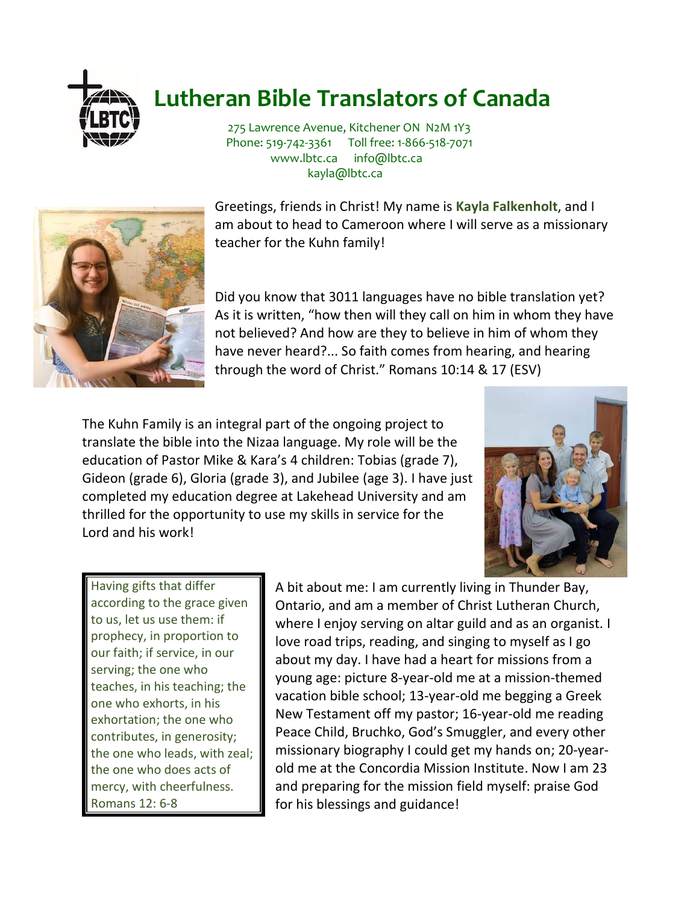

## **Lutheran Bible Translators of Canada**

275 Lawrence Avenue, Kitchener ON N2M 1Y3 Phone: 519-742-3361 Toll free: 1-866-518-7071 www.lbtc.ca info@lbtc.ca kayla@lbtc.ca



Greetings, friends in Christ! My name is **Kayla Falkenholt**, and I am about to head to Cameroon where I will serve as a missionary teacher for the Kuhn family!

Did you know that 3011 languages have no bible translation yet? As it is written, "how then will they call on him in whom they have not believed? And how are they to believe in him of whom they have never heard?... So faith comes from hearing, and hearing through the word of Christ." Romans 10:14 & 17 (ESV)

The Kuhn Family is an integral part of the ongoing project to translate the bible into the Nizaa language. My role will be the education of Pastor Mike & Kara's 4 children: Tobias (grade 7), Gideon (grade 6), Gloria (grade 3), and Jubilee (age 3). I have just completed my education degree at Lakehead University and am thrilled for the opportunity to use my skills in service for the Lord and his work!



Having gifts that differ according to the grace given to us, let us use them: if prophecy, in proportion to our faith; if service, in our serving; the one who teaches, in his teaching; the one who exhorts, in his exhortation; the one who contributes, in generosity; the one who leads, with zeal; the one who does acts of mercy, with cheerfulness. Romans 12: 6-8

A bit about me: I am currently living in Thunder Bay, Ontario, and am a member of Christ Lutheran Church, where I enjoy serving on altar guild and as an organist. I love road trips, reading, and singing to myself as I go about my day. I have had a heart for missions from a young age: picture 8-year-old me at a mission-themed vacation bible school; 13-year-old me begging a Greek New Testament off my pastor; 16-year-old me reading Peace Child, Bruchko, God's Smuggler, and every other missionary biography I could get my hands on; 20-yearold me at the Concordia Mission Institute. Now I am 23 and preparing for the mission field myself: praise God for his blessings and guidance!